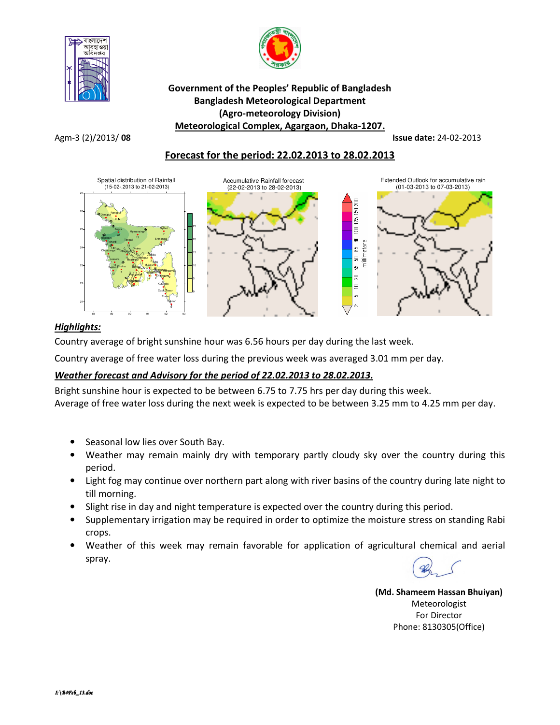



## Government of the Peoples' Republic of Bangladesh Bangladesh Meteorological Department (Agro-meteorology Division) Meteorological Complex, Agargaon, Dhaka-1207.

Agm-3 (2)/2013/ 08 Issue date: 24-02-2013

# Forecast for the period: 22.02.2013 to 28.02.2013



## Highlights:

Country average of bright sunshine hour was 6.56 hours per day during the last week.

Country average of free water loss during the previous week was averaged 3.01 mm per day.

# Weather forecast and Advisory for the period of 22.02.2013 to 28.02.2013.

Bright sunshine hour is expected to be between 6.75 to 7.75 hrs per day during this week. Average of free water loss during the next week is expected to be between 3.25 mm to 4.25 mm per day.

- Seasonal low lies over South Bay.
- Weather may remain mainly dry with temporary partly cloudy sky over the country during this period.
- Light fog may continue over northern part along with river basins of the country during late night to till morning.
- Slight rise in day and night temperature is expected over the country during this period.
- Supplementary irrigation may be required in order to optimize the moisture stress on standing Rabi crops.
- Weather of this week may remain favorable for application of agricultural chemical and aerial spray.

(Md. Shameem Hassan Bhuiyan) Meteorologist For Director Phone: 8130305(Office)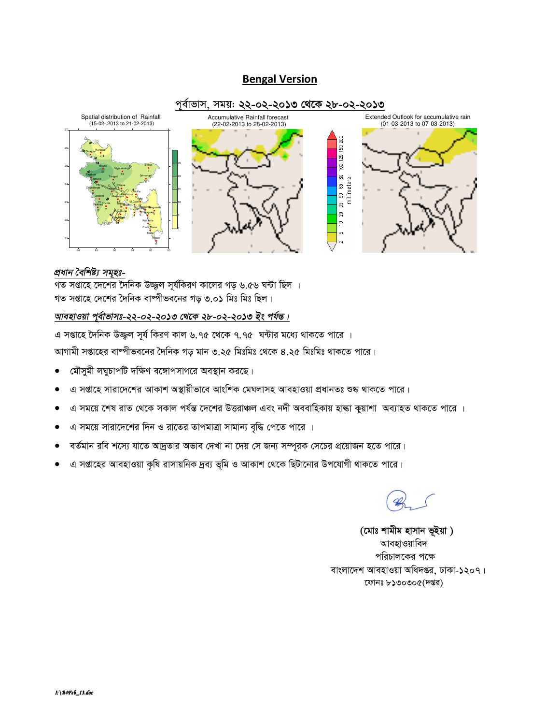# **Bengal Version**



#### প্ৰধান বৈশিষ্ট্য সমূহঃ-

গত সপ্তাহে দেশের দৈনিক উজ্জ্বল সূর্যকিরণ কালের গড় ৬.৫৬ ঘন্টা ছিল । গত সপ্তাহে দেশের দৈনিক বাষ্পীভবনের গড় ৩.০১ মিঃ মিঃ ছিল।

# আবহাওয়া পুর্বাভাসঃ-২২-০২-২০১৩ থেকে ২৮-০২-২০১৩ ইং পর্যন্ত।

এ সপ্তাহে দৈনিক উজ্জুল সূর্য কিরণ কাল ৬.৭৫ থেকে ৭.৭৫ ঘন্টার মধ্যে থাকতে পারে । আগামী সপ্তাহের বাম্পীভবনের দৈনিক গড় মান ৩.২৫ মিঃমিঃ থেকে ৪.২৫ মিঃমিঃ থাকতে পারে।

- মৌসুমী লঘুচাপটি দক্ষিণ বঙ্গোপসাগরে অবস্থান করছে।  $\bullet$
- এ সপ্তাহে সারাদেশের আকাশ অস্থায়ীভাবে আংশিক মেঘলাসহ আবহাওয়া প্রধানতঃ শুষ্ক থাকতে পারে।
- এ সময়ে শেষ রাত থেকে সকাল পর্যন্ত দেশের উত্তরাঞ্চল এবং নদী অববাহিকায় হাঙ্কা কুয়াশা অব্যাহত থাকতে পারে ।
- এ সময়ে সারাদেশের দিন ও রাতের তাপমাত্রা সামান্য বৃদ্ধি পেতে পারে ।
- বর্তমান রবি শস্যে যাতে আদ্রতার অভাব দেখা না দেয় সে জন্য সম্পূরক সেচের প্রয়োজন হতে পারে।
- এ সপ্তাহের আবহাওয়া কৃষি রাসায়নিক দ্রব্য ভূমি ও আকাশ থেকে ছিটানোর উপযোগী থাকতে পারে।

(মোঃ শামীম হাসান ভূইয়া) আবহাওয়াবিদ পরিচালকের পক্ষে বাংলাদেশ আবহাওয়া অধিদপ্তর, ঢাকা-১২০৭। ফোনঃ ৮১৩০৩০৫(দপ্তর)